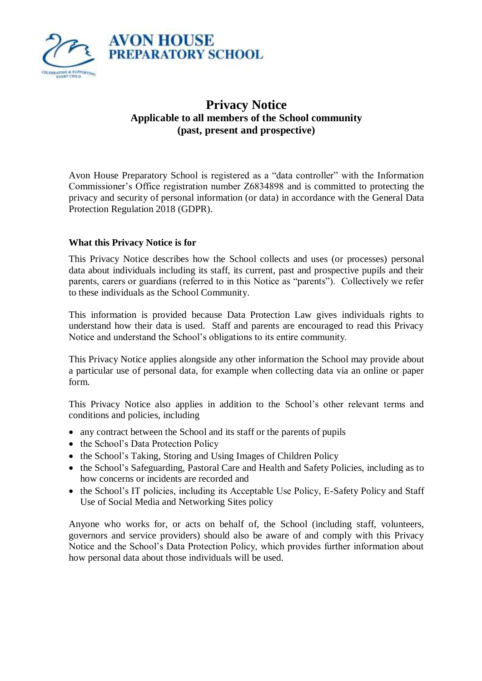

# **Privacy Notice Applicable to all members of the School community (past, present and prospective)**

Avon House Preparatory School is registered as a "data controller" with the Information Commissioner's Office registration number Z6834898 and is committed to protecting the privacy and security of personal information (or data) in accordance with the General Data Protection Regulation 2018 (GDPR).

## **What this Privacy Notice is for**

This Privacy Notice describes how the School collects and uses (or processes) personal data about individuals including its staff, its current, past and prospective pupils and their parents, carers or guardians (referred to in this Notice as "parents"). Collectively we refer to these individuals as the School Community.

This information is provided because Data Protection Law gives individuals rights to understand how their data is used. Staff and parents are encouraged to read this Privacy Notice and understand the School's obligations to its entire community.

This Privacy Notice applies alongside any other information the School may provide about a particular use of personal data, for example when collecting data via an online or paper form.

This Privacy Notice also applies in addition to the School's other relevant terms and conditions and policies, including

- any contract between the School and its staff or the parents of pupils
- the School's Data Protection Policy
- the School's Taking, Storing and Using Images of Children Policy
- the School's Safeguarding, Pastoral Care and Health and Safety Policies, including as to how concerns or incidents are recorded and
- the School's IT policies, including its Acceptable Use Policy, E-Safety Policy and Staff Use of Social Media and Networking Sites policy

Anyone who works for, or acts on behalf of, the School (including staff, volunteers, governors and service providers) should also be aware of and comply with this Privacy Notice and the School's Data Protection Policy, which provides further information about how personal data about those individuals will be used.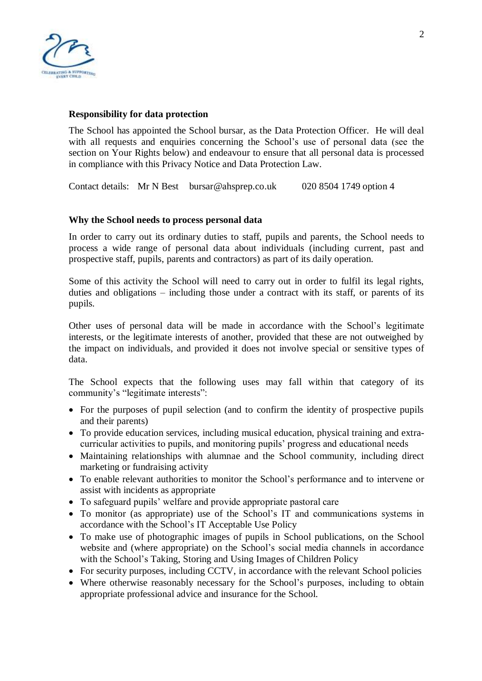

## **Responsibility for data protection**

The School has appointed the School bursar, as the Data Protection Officer. He will deal with all requests and enquiries concerning the School's use of personal data (see the section on Your Rights below) and endeavour to ensure that all personal data is processed in compliance with this Privacy Notice and Data Protection Law.

Contact details: Mr N Best bursar@ahsprep.co.uk 020 8504 1749 option 4

## **Why the School needs to process personal data**

In order to carry out its ordinary duties to staff, pupils and parents, the School needs to process a wide range of personal data about individuals (including current, past and prospective staff, pupils, parents and contractors) as part of its daily operation.

Some of this activity the School will need to carry out in order to fulfil its legal rights, duties and obligations – including those under a contract with its staff, or parents of its pupils.

Other uses of personal data will be made in accordance with the School's legitimate interests, or the legitimate interests of another, provided that these are not outweighed by the impact on individuals, and provided it does not involve special or sensitive types of data.

The School expects that the following uses may fall within that category of its community's "legitimate interests":

- For the purposes of pupil selection (and to confirm the identity of prospective pupils and their parents)
- To provide education services, including musical education, physical training and extracurricular activities to pupils, and monitoring pupils' progress and educational needs
- Maintaining relationships with alumnae and the School community, including direct marketing or fundraising activity
- To enable relevant authorities to monitor the School's performance and to intervene or assist with incidents as appropriate
- To safeguard pupils' welfare and provide appropriate pastoral care
- To monitor (as appropriate) use of the School's IT and communications systems in accordance with the School's IT Acceptable Use Policy
- To make use of photographic images of pupils in School publications, on the School website and (where appropriate) on the School's social media channels in accordance with the School's Taking, Storing and Using Images of Children Policy
- For security purposes, including CCTV, in accordance with the relevant School policies
- Where otherwise reasonably necessary for the School's purposes, including to obtain appropriate professional advice and insurance for the School.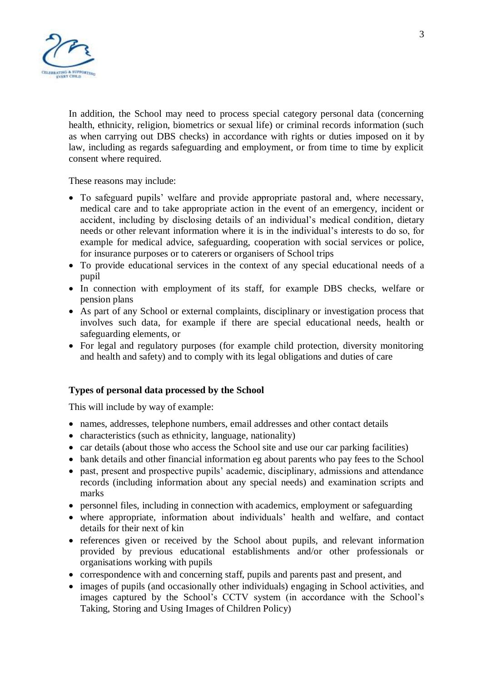

In addition, the School may need to process special category personal data (concerning health, ethnicity, religion, biometrics or sexual life) or criminal records information (such as when carrying out DBS checks) in accordance with rights or duties imposed on it by law, including as regards safeguarding and employment, or from time to time by explicit consent where required.

These reasons may include:

- To safeguard pupils' welfare and provide appropriate pastoral and, where necessary, medical care and to take appropriate action in the event of an emergency, incident or accident, including by disclosing details of an individual's medical condition, dietary needs or other relevant information where it is in the individual's interests to do so, for example for medical advice, safeguarding, cooperation with social services or police, for insurance purposes or to caterers or organisers of School trips
- To provide educational services in the context of any special educational needs of a pupil
- In connection with employment of its staff, for example DBS checks, welfare or pension plans
- As part of any School or external complaints, disciplinary or investigation process that involves such data, for example if there are special educational needs, health or safeguarding elements, or
- For legal and regulatory purposes (for example child protection, diversity monitoring and health and safety) and to comply with its legal obligations and duties of care

## **Types of personal data processed by the School**

This will include by way of example:

- names, addresses, telephone numbers, email addresses and other contact details
- characteristics (such as ethnicity, language, nationality)
- car details (about those who access the School site and use our car parking facilities)
- bank details and other financial information eg about parents who pay fees to the School
- past, present and prospective pupils' academic, disciplinary, admissions and attendance records (including information about any special needs) and examination scripts and marks
- personnel files, including in connection with academics, employment or safeguarding
- where appropriate, information about individuals' health and welfare, and contact details for their next of kin
- references given or received by the School about pupils, and relevant information provided by previous educational establishments and/or other professionals or organisations working with pupils
- correspondence with and concerning staff, pupils and parents past and present, and
- images of pupils (and occasionally other individuals) engaging in School activities, and images captured by the School's CCTV system (in accordance with the School's Taking, Storing and Using Images of Children Policy)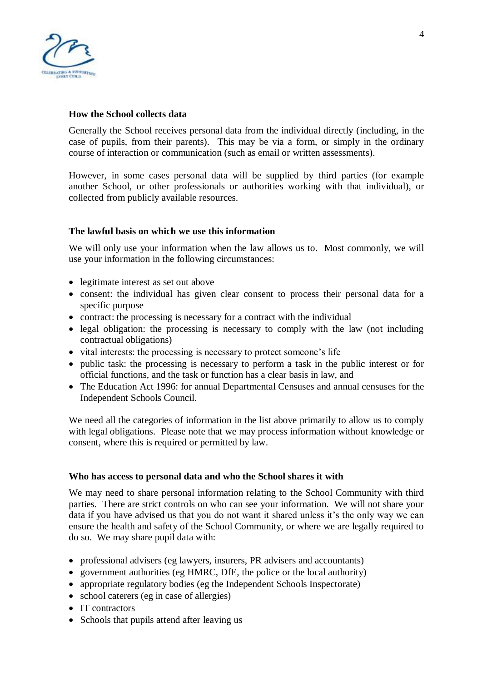

## **How the School collects data**

Generally the School receives personal data from the individual directly (including, in the case of pupils, from their parents). This may be via a form, or simply in the ordinary course of interaction or communication (such as email or written assessments).

However, in some cases personal data will be supplied by third parties (for example another School, or other professionals or authorities working with that individual), or collected from publicly available resources.

## **The lawful basis on which we use this information**

We will only use your information when the law allows us to. Most commonly, we will use your information in the following circumstances:

- legitimate interest as set out above
- consent: the individual has given clear consent to process their personal data for a specific purpose
- contract: the processing is necessary for a contract with the individual
- legal obligation: the processing is necessary to comply with the law (not including contractual obligations)
- vital interests: the processing is necessary to protect someone's life
- public task: the processing is necessary to perform a task in the public interest or for official functions, and the task or function has a clear basis in law, and
- The Education Act 1996: for annual Departmental Censuses and annual censuses for the Independent Schools Council.

We need all the categories of information in the list above primarily to allow us to comply with legal obligations. Please note that we may process information without knowledge or consent, where this is required or permitted by law.

#### **Who has access to personal data and who the School shares it with**

We may need to share personal information relating to the School Community with third parties. There are strict controls on who can see your information. We will not share your data if you have advised us that you do not want it shared unless it's the only way we can ensure the health and safety of the School Community, or where we are legally required to do so. We may share pupil data with:

- professional advisers (eg lawyers, insurers, PR advisers and accountants)
- government authorities (eg HMRC, DfE, the police or the local authority)
- appropriate regulatory bodies (eg the Independent Schools Inspectorate)
- school caterers (eg in case of allergies)
- IT contractors
- Schools that pupils attend after leaving us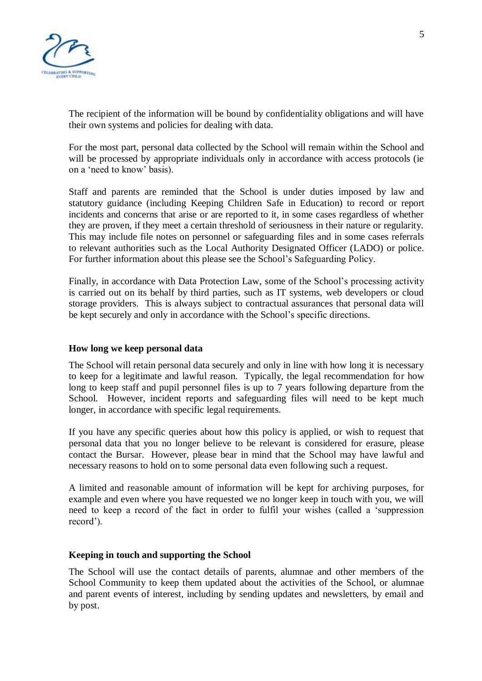

The recipient of the information will be bound by confidentiality obligations and will have their own systems and policies for dealing with data.

For the most part, personal data collected by the School will remain within the School and will be processed by appropriate individuals only in accordance with access protocols (ie on a 'need to know' basis).

Staff and parents are reminded that the School is under duties imposed by law and statutory guidance (including Keeping Children Safe in Education) to record or report incidents and concerns that arise or are reported to it, in some cases regardless of whether they are proven, if they meet a certain threshold of seriousness in their nature or regularity. This may include file notes on personnel or safeguarding files and in some cases referrals to relevant authorities such as the Local Authority Designated Officer (LADO) or police. For further information about this please see the School's Safeguarding Policy.

Finally, in accordance with Data Protection Law, some of the School's processing activity is carried out on its behalf by third parties, such as IT systems, web developers or cloud storage providers. This is always subject to contractual assurances that personal data will be kept securely and only in accordance with the School's specific directions.

## **How long we keep personal data**

The School will retain personal data securely and only in line with how long it is necessary to keep for a legitimate and lawful reason. Typically, the legal recommendation for how long to keep staff and pupil personnel files is up to 7 years following departure from the School. However, incident reports and safeguarding files will need to be kept much longer, in accordance with specific legal requirements.

If you have any specific queries about how this policy is applied, or wish to request that personal data that you no longer believe to be relevant is considered for erasure, please contact the Bursar. However, please bear in mind that the School may have lawful and necessary reasons to hold on to some personal data even following such a request.

A limited and reasonable amount of information will be kept for archiving purposes, for example and even where you have requested we no longer keep in touch with you, we will need to keep a record of the fact in order to fulfil your wishes (called a 'suppression record').

## **Keeping in touch and supporting the School**

The School will use the contact details of parents, alumnae and other members of the School Community to keep them updated about the activities of the School, or alumnae and parent events of interest, including by sending updates and newsletters, by email and by post.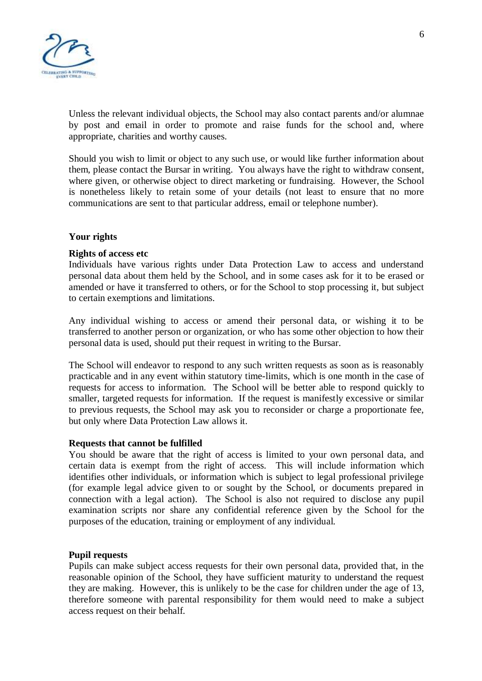

Unless the relevant individual objects, the School may also contact parents and/or alumnae by post and email in order to promote and raise funds for the school and, where appropriate, charities and worthy causes.

Should you wish to limit or object to any such use, or would like further information about them, please contact the Bursar in writing. You always have the right to withdraw consent, where given, or otherwise object to direct marketing or fundraising. However, the School is nonetheless likely to retain some of your details (not least to ensure that no more communications are sent to that particular address, email or telephone number).

#### **Your rights**

#### **Rights of access etc**

Individuals have various rights under Data Protection Law to access and understand personal data about them held by the School, and in some cases ask for it to be erased or amended or have it transferred to others, or for the School to stop processing it, but subject to certain exemptions and limitations.

Any individual wishing to access or amend their personal data, or wishing it to be transferred to another person or organization, or who has some other objection to how their personal data is used, should put their request in writing to the Bursar.

The School will endeavor to respond to any such written requests as soon as is reasonably practicable and in any event within statutory time-limits, which is one month in the case of requests for access to information. The School will be better able to respond quickly to smaller, targeted requests for information. If the request is manifestly excessive or similar to previous requests, the School may ask you to reconsider or charge a proportionate fee, but only where Data Protection Law allows it.

#### **Requests that cannot be fulfilled**

You should be aware that the right of access is limited to your own personal data, and certain data is exempt from the right of access. This will include information which identifies other individuals, or information which is subject to legal professional privilege (for example legal advice given to or sought by the School, or documents prepared in connection with a legal action). The School is also not required to disclose any pupil examination scripts nor share any confidential reference given by the School for the purposes of the education, training or employment of any individual.

#### **Pupil requests**

Pupils can make subject access requests for their own personal data, provided that, in the reasonable opinion of the School, they have sufficient maturity to understand the request they are making. However, this is unlikely to be the case for children under the age of 13, therefore someone with parental responsibility for them would need to make a subject access request on their behalf.